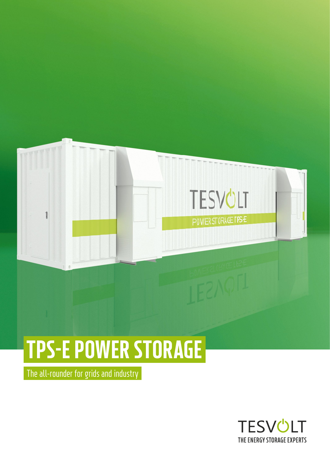

# TPS-E POWER STORAGE

The all-rounder for grids and industry

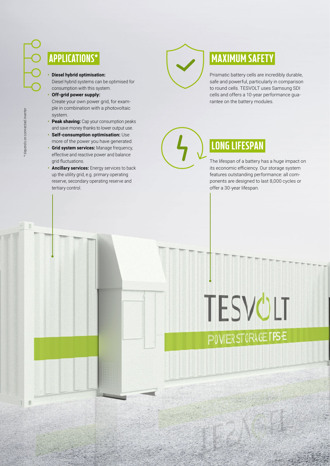### APPLICATIONS\*

#### **• Diesel hybrid optimisation:**

Diesel hybrid systems can be optimised for consumption with this system.

### **• Off-grid power supply:**

Create your own power grid, for example in combination with a photovoltaic system.

- **Peak shaving:** Cap your consumption peaks and save money thanks to lower output use.
- **Self-consumption optimisation:** Use more of the power you have generated.
- **Grid system services:** Manage frequency, effective and reactive power and balance grid fluctuations.
- **Ancillary services:** Energy services to back up the utility grid, e.g. primary operating reserve, secondary operating reserve and tertiary control.

### MAXIMUM SAFETY

Prismatic battery cells are incredibly durable, safe and powerful, particularly in comparison to round cells. TESVOLT uses Samsung SDI cells and offers a 10-year performance guarantee on the battery modules.

## LONG LIFESPAN

The lifespan of a battery has a huge impact on its economic efficiency. Our storage system features outstanding performance: all components are designed to last 8,000 cycles or offer a 30-year lifespan.

## TESVÜLT **POWERSTORAGE TPSE**

 $\mathbf{r}$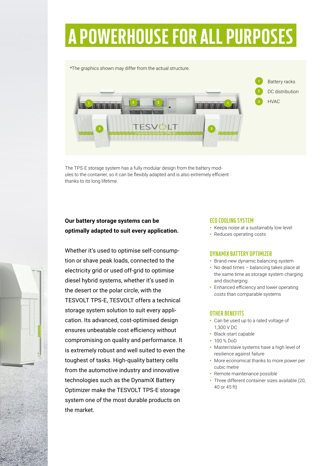## A POWERHOUSE FOR ALL PURPOSES

\*The graphics shown may differ from the actual structure.



The TPS-E storage system has a fully modular design from the battery modules to the container, so it can be flexibly adapted and is also extremely efficient thanks to its long lifetime.

### **Our battery storage systems can be optimally adapted to suit every application.**

Whether it's used to optimise self-consumption or shave peak loads, connected to the electricity grid or used off-grid to optimise diesel hybrid systems, whether it's used in the desert or the polar circle, with the TESVOLT TPS-E, TESVOLT offers a technical storage system solution to suit every application. Its advanced, cost-optimised design ensures unbeatable cost efficiency without compromising on quality and performance. It is extremely robust and well suited to even the toughest of tasks. High-quality battery cells from the automotive industry and innovative technologies such as the DynamiX Battery Optimizer make the TESVOLT TPS-E storage system one of the most durable products on the market.

### **ECO COOLING SYSTEM**

- Keeps noise at a sustainably low level
- Reduces operating costs

### **DYNAMIX BATTERY OPTIMIZER**

- Brand-new dynamic balancing system
- No dead times balancing takes place at the same time as storage system charging and discharging
- Enhanced efficiency and lower operating costs than comparable systems

### **OTHER BENEFITS**

- Can be used up to a rated voltage of 1,300 V DC
- Black-start capable
- 100 % DoD
- Master/slave systems have a high level of resilience against failure
- More economical thanks to more power per cubic metre
- Remote maintenance possible
- Three different container sizes available (20, 40 or 45 ft)